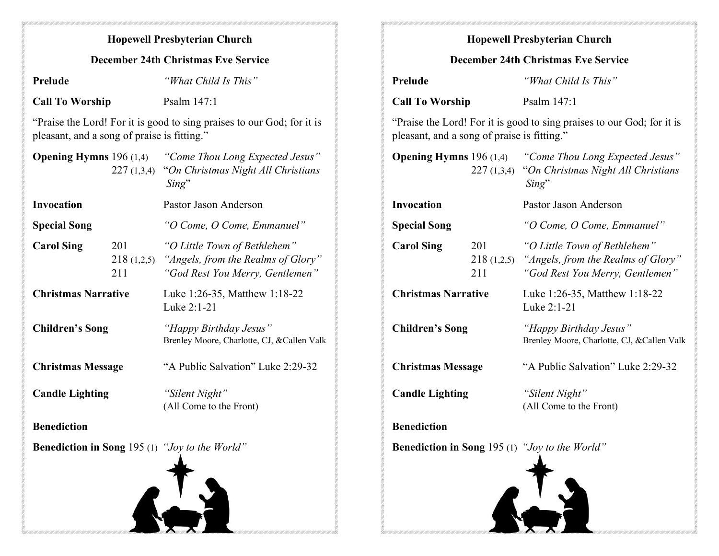## Hopewell Presbyterian Church December 24th Christmas Eve Service Prelude "What Child Is This" Call To Worship Psalm 147:1 "Praise the Lord! For it is good to sing praises to our God; for it is pleasant, and a song of praise is fitting." **Opening Hymns** 196 (1,4) "Come Thou Long Expected Jesus" 227 (1,3,4) "On Christmas Night All Christians Sing" Invocation Pastor Jason Anderson Special Song "O Come, O Come, Emmanuel" Carol Sing 201 "O Little Town of Bethlehem" 218 (1,2,5) "Angels, from the Realms of Glory" 211 "God Rest You Merry, Gentlemen" Christmas Narrative Luke 1:26-35, Matthew 1:18-22 Luke 2:1-21 Children's Song "Happy Birthday Jesus" Brenley Moore, Charlotte, CJ, &Callen Valk Christmas Message "A Public Salvation" Luke 2:29-32 Candle Lighting "Silent Night" (All Come to the Front) **Benediction** Benediction in Song 195 (1) "Joy to the World" Hopewell Presbyterian Church December 24th Christmas Eve Service Prelude "What Child Is This" Call To Worship Psalm 147:1 "Praise the Lord! For it is good to sing praises to our God; for it is pleasant, and a song of praise is fitting." **Opening Hymns** 196 (1,4) "Come Thou Long Expected Jesus" 227 (1,3,4) "On Christmas Night All Christians Sing" Invocation Pastor Jason Anderson Special Song "O Come, O Come, Emmanuel" Carol Sing 201 "O Little Town of Bethlehem" 218 (1,2,5) "Angels, from the Realms of Glory" 211 "God Rest You Merry, Gentlemen" Christmas Narrative Luke 1:26-35, Matthew 1:18-22 Luke 2:1-21 Children's Song "Happy Birthday Jesus" Brenley Moore, Charlotte, CJ, &Callen Valk Christmas Message "A Public Salvation" Luke 2:29-32 Candle Lighting "Silent Night" (All Come to the Front) **Benediction** Benediction in Song 195 (1) "Joy to the World"